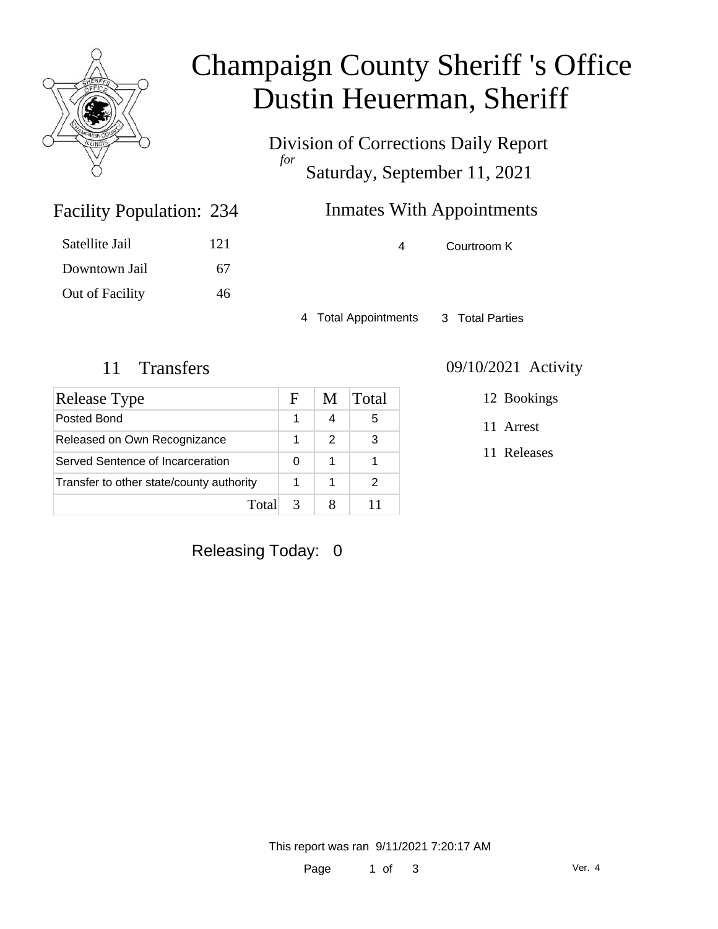

# Champaign County Sheriff 's Office Dustin Heuerman, Sheriff

Division of Corrections Daily Report *for* Saturday, September 11, 2021

### Inmates With Appointments

4 Courtroom K

4 Total Appointments 3 Total Parties

Facility Population: 234

Satellite Jail 121

Downtown Jail 67

Out of Facility 46

| <b>Release Type</b>                      | F | M | Total |
|------------------------------------------|---|---|-------|
| Posted Bond                              |   | 4 | 5     |
| Released on Own Recognizance             |   | 2 | 3     |
| Served Sentence of Incarceration         | 0 | 1 |       |
| Transfer to other state/county authority |   |   |       |
| Total                                    |   |   |       |

#### 11 Transfers 09/10/2021 Activity

12 Bookings

11 Arrest

11 Releases

Releasing Today: 0

This report was ran 9/11/2021 7:20:17 AM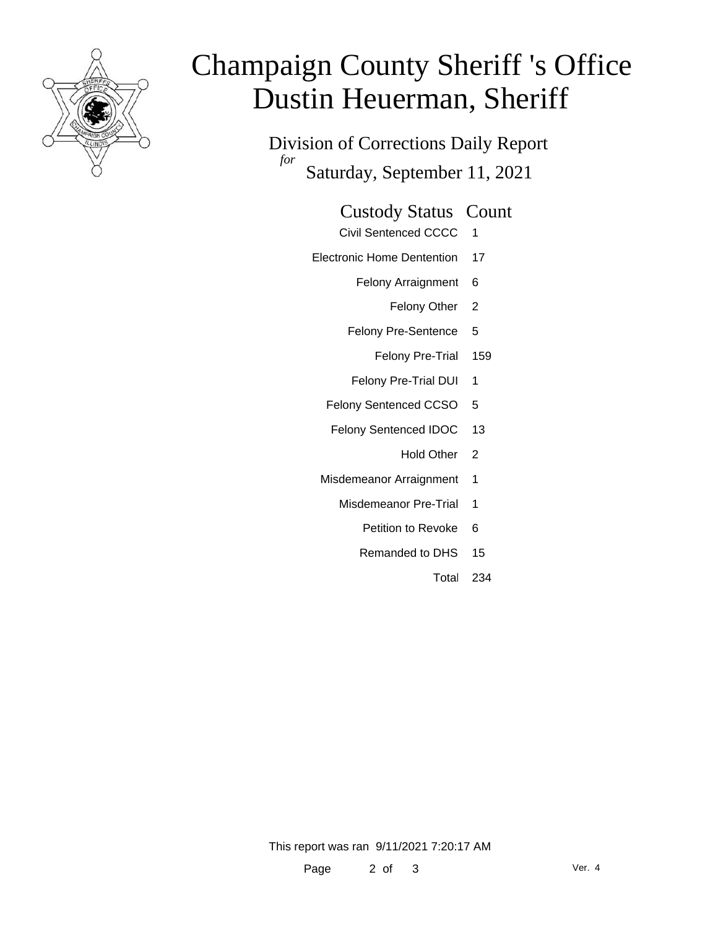

# Champaign County Sheriff 's Office Dustin Heuerman, Sheriff

Division of Corrections Daily Report *for* Saturday, September 11, 2021

#### Custody Status Count

- Civil Sentenced CCCC 1
- Electronic Home Dentention 17
	- Felony Arraignment 6
		- Felony Other 2
	- Felony Pre-Sentence 5
		- Felony Pre-Trial 159
	- Felony Pre-Trial DUI 1
	- Felony Sentenced CCSO 5
	- Felony Sentenced IDOC 13
		- Hold Other 2
	- Misdemeanor Arraignment 1
		- Misdemeanor Pre-Trial 1
			- Petition to Revoke 6
			- Remanded to DHS 15
				- Total 234

This report was ran 9/11/2021 7:20:17 AM